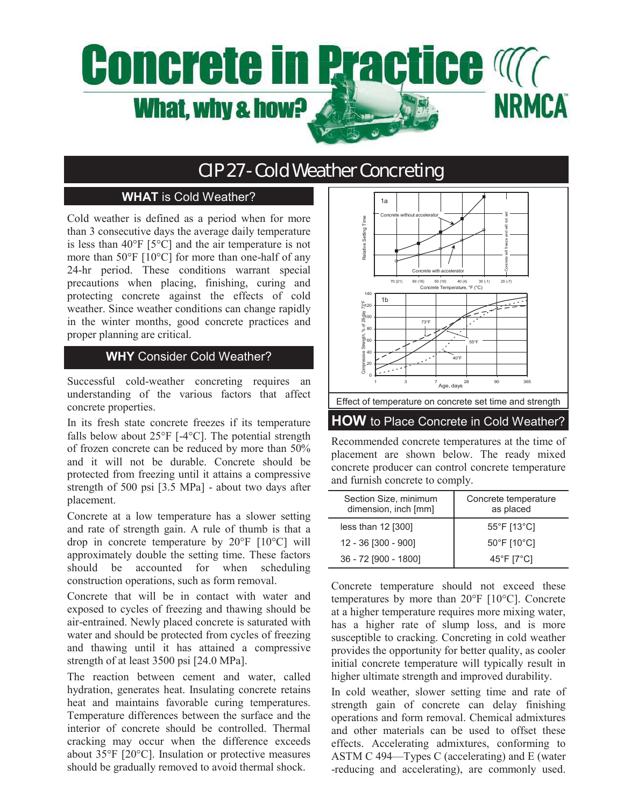# **Concrete in Practice Manufaction NRMCA** What, why & how?

# CIP 27 - Cold Weather Concreting

## **WHAT** is Cold Weather?

Cold weather is defined as a period when for more than 3 consecutive days the average daily temperature is less than  $40^{\circ}$ F [5 $^{\circ}$ C] and the air temperature is not more than 50°F [10°C] for more than one-half of any 24-hr period. These conditions warrant special precautions when placing, finishing, curing and protecting concrete against the effects of cold weather. Since weather conditions can change rapidly in the winter months, good concrete practices and proper planning are critical.

### **WHY** Consider Cold Weather?

Successful cold-weather concreting requires an understanding of the various factors that affect concrete properties.

In its fresh state concrete freezes if its temperature falls below about  $25^{\circ}F$  [-4 $^{\circ}C$ ]. The potential strength of frozen concrete can be reduced by more than 50% and it will not be durable. Concrete should be protected from freezing until it attains a compressive strength of 500 psi [3.5 MPa] - about two days after placement.

Concrete at a low temperature has a slower setting and rate of strength gain. A rule of thumb is that a drop in concrete temperature by 20°F [10°C] will approximately double the setting time. These factors should be accounted for when scheduling construction operations, such as form removal.

Concrete that will be in contact with water and exposed to cycles of freezing and thawing should be air-entrained. Newly placed concrete is saturated with water and should be protected from cycles of freezing and thawing until it has attained a compressive strength of at least 3500 psi [24.0 MPa].

The reaction between cement and water, called hydration, generates heat. Insulating concrete retains heat and maintains favorable curing temperatures. Temperature differences between the surface and the interior of concrete should be controlled. Thermal cracking may occur when the difference exceeds about 35°F [20°C]. Insulation or protective measures should be gradually removed to avoid thermal shock.



Recommended concrete temperatures at the time of placement are shown below. The ready mixed concrete producer can control concrete temperature and furnish concrete to comply.

| Section Size, minimum<br>dimension, inch [mm] | Concrete temperature<br>as placed |
|-----------------------------------------------|-----------------------------------|
| less than 12 [300]                            | 55°F [13°C]                       |
| 12 - 36 [300 - 900]                           | 50°F [10°C]                       |
| 36 - 72 [900 - 1800]                          | 45°F [7°C]                        |

Concrete temperature should not exceed these temperatures by more than 20°F [10°C]. Concrete at a higher temperature requires more mixing water, has a higher rate of slump loss, and is more susceptible to cracking. Concreting in cold weather provides the opportunity for better quality, as cooler initial concrete temperature will typically result in higher ultimate strength and improved durability.

In cold weather, slower setting time and rate of strength gain of concrete can delay finishing operations and form removal. Chemical admixtures and other materials can be used to offset these effects. Accelerating admixtures, conforming to ASTM C 494—Types C (accelerating) and E (water -reducing and accelerating), are commonly used.